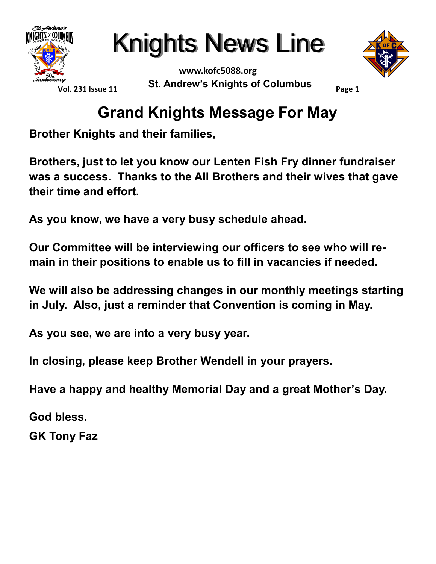

**www.kofc5088.org St. Andrew's Knights of Columbus**



**Page 1**

### **Grand Knights Message For May**

**Brother Knights and their families,**

**Brothers, just to let you know our Lenten Fish Fry dinner fundraiser was a success. Thanks to the All Brothers and their wives that gave their time and effort.** 

**As you know, we have a very busy schedule ahead.** 

**Our Committee will be interviewing our officers to see who will remain in their positions to enable us to fill in vacancies if needed.**

**We will also be addressing changes in our monthly meetings starting in July. Also, just a reminder that Convention is coming in May.**

**As you see, we are into a very busy year.**

**In closing, please keep Brother Wendell in your prayers.**

**Have a happy and healthy Memorial Day and a great Mother's Day.**

**God bless.**

**GK Tony Faz**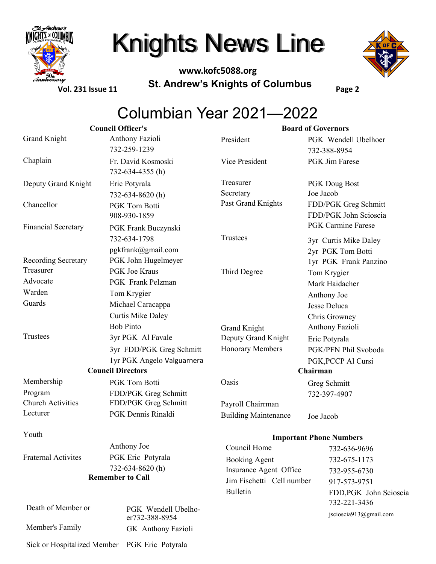

**www.kofc5088.org St. Andrew's Knights of Columbus**



**Vol. 231 Issue 11**

**Page 2**

### Columbian Year 2021—2022

|                             | <b>Council Officer's</b>               |                                | <b>Board of Governors</b>              |  |
|-----------------------------|----------------------------------------|--------------------------------|----------------------------------------|--|
| <b>Grand Knight</b>         | Anthony Fazioli                        | President                      | PGK Wendell Ubelhoer                   |  |
|                             | 732-259-1239                           |                                | 732-388-8954                           |  |
| Chaplain                    | Fr. David Kosmoski<br>732-634-4355 (h) | Vice President                 | PGK Jim Farese                         |  |
| Deputy Grand Knight         | Eric Potyrala                          | Treasurer                      | <b>PGK</b> Doug Bost                   |  |
|                             | 732-634-8620(h)                        | Secretary                      | Joe Jacob                              |  |
| Chancellor                  | <b>PGK Tom Botti</b>                   | Past Grand Knights             | FDD/PGK Greg Schmitt                   |  |
|                             | 908-930-1859                           |                                | FDD/PGK John Scioscia                  |  |
| <b>Financial Secretary</b>  | PGK Frank Buczynski                    |                                | <b>PGK Carmine Farese</b>              |  |
|                             | 732-634-1798                           | Trustees                       | 3yr Curtis Mike Daley                  |  |
|                             | pgkfrank@gmail.com                     |                                | 2yr PGK Tom Botti                      |  |
| Recording Secretary         | PGK John Hugelmeyer                    |                                | 1yr PGK Frank Panzino                  |  |
| Treasurer                   | <b>PGK</b> Joe Kraus                   | Third Degree                   | Tom Krygier                            |  |
| Advocate                    | <b>PGK</b> Frank Pelzman               |                                | Mark Haidacher                         |  |
| Warden                      | Tom Krygier                            |                                | Anthony Joe                            |  |
| Guards                      | Michael Caracappa                      |                                | Jesse Deluca                           |  |
|                             | <b>Curtis Mike Daley</b>               |                                | Chris Growney                          |  |
|                             | <b>Bob Pinto</b>                       | <b>Grand Knight</b>            | Anthony Fazioli                        |  |
| Trustees                    | 3yr PGK Al Favale                      | Deputy Grand Knight            | Eric Potyrala                          |  |
|                             | 3yr FDD/PGK Greg Schmitt               | <b>Honorary Members</b>        | PGK/PFN Phil Svoboda                   |  |
|                             | 1yr PGK Angelo Valguarnera             |                                | PGK, PCCP Al Cursi                     |  |
| <b>Council Directors</b>    |                                        | Chairman                       |                                        |  |
| Membership                  | PGK Tom Botti                          | Oasis                          | Greg Schmitt                           |  |
| Program                     | FDD/PGK Greg Schmitt                   |                                | 732-397-4907                           |  |
| <b>Church Activities</b>    | FDD/PGK Greg Schmitt                   | Payroll Chairrman              |                                        |  |
| Lecturer                    | PGK Dennis Rinaldi                     | <b>Building Maintenance</b>    | Joe Jacob                              |  |
| Youth                       |                                        | <b>Important Phone Numbers</b> |                                        |  |
|                             | Anthony Joe                            | Council Home                   | 732-636-9696                           |  |
| <b>Fraternal Activites</b>  | PGK Eric Potyrala                      | <b>Booking Agent</b>           | 732-675-1173                           |  |
|                             | 732-634-8620(h)                        | Insurance Agent Office         | 732-955-6730                           |  |
|                             | <b>Remember to Call</b>                | Jim Fischetti Cell number      | 917-573-9751                           |  |
|                             |                                        | <b>Bulletin</b>                | FDD, PGK John Scioscia<br>732-221-3436 |  |
| Death of Member or          | PGK Wendell Ubelho-<br>er732-388-8954  |                                | jscioscia913@gmail.com                 |  |
| Member's Family             | GK Anthony Fazioli                     |                                |                                        |  |
| Sick or Hospitalized Member | PGK Eric Potyrala                      |                                |                                        |  |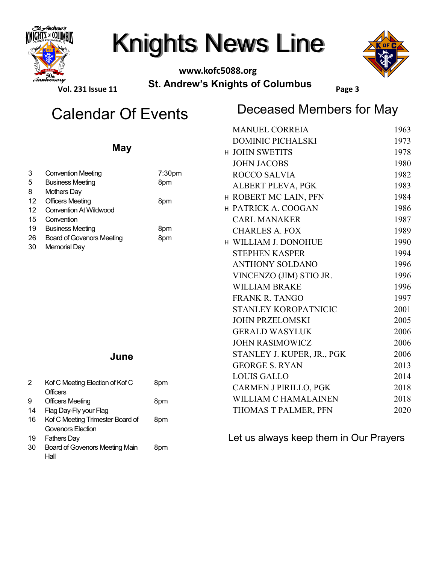

#### **www.kofc5088.org St. Andrew's Knights of Columbus**



**Vol. 231 Issue 11**

### Deceased Members for May Calendar Of Events

**Page 3**

|                |                                                              |            | <b>MANUEL CORREIA</b>                  | 1963 |  |
|----------------|--------------------------------------------------------------|------------|----------------------------------------|------|--|
|                | <b>May</b>                                                   |            | <b>DOMINIC PICHALSKI</b>               | 1973 |  |
|                |                                                              |            | H JOHN SWETITS                         | 1978 |  |
|                |                                                              |            | <b>JOHN JACOBS</b>                     | 1980 |  |
| $\mathbf{3}$   | <b>Convention Meeting</b>                                    | 7:30pm     | <b>ROCCO SALVIA</b>                    | 1982 |  |
| 5              | <b>Business Meeting</b>                                      | 8pm        | ALBERT PLEVA, PGK                      | 1983 |  |
| 8<br>12        | <b>Mothers Day</b><br><b>Officers Meeting</b>                | 8pm        | H ROBERT MC LAIN, PFN                  | 1984 |  |
| 12             | <b>Convention At Wildwood</b>                                |            | H PATRICK A. COOGAN                    | 1986 |  |
| 15             | Convention                                                   | 8pm<br>8pm | <b>CARL MANAKER</b>                    | 1987 |  |
| 19             | <b>Business Meeting</b>                                      |            | <b>CHARLES A. FOX</b>                  | 1989 |  |
| 26<br>30       | <b>Board of Govenors Meeting</b><br><b>Memorial Day</b>      |            | H WILLIAM J. DONOHUE                   | 1990 |  |
|                |                                                              |            | <b>STEPHEN KASPER</b>                  | 1994 |  |
|                |                                                              |            | <b>ANTHONY SOLDANO</b>                 | 1996 |  |
|                |                                                              |            | VINCENZO (JIM) STIO JR.                | 1996 |  |
|                |                                                              |            | <b>WILLIAM BRAKE</b>                   | 1996 |  |
|                |                                                              |            | <b>FRANK R. TANGO</b>                  | 1997 |  |
|                |                                                              |            | STANLEY KOROPATNICIC                   | 2001 |  |
|                |                                                              |            | <b>JOHN PRZELOMSKI</b>                 | 2005 |  |
|                |                                                              |            | <b>GERALD WASYLUK</b>                  | 2006 |  |
|                |                                                              |            | <b>JOHN RASIMOWICZ</b>                 | 2006 |  |
| June           |                                                              |            | STANLEY J. KUPER, JR., PGK             | 2006 |  |
|                |                                                              |            | <b>GEORGE S. RYAN</b>                  | 2013 |  |
|                |                                                              |            | <b>LOUIS GALLO</b>                     | 2014 |  |
| $\overline{2}$ | Kof C Meeting Election of Kof C<br><b>Officers</b>           | 8pm        | <b>CARMEN J PIRILLO, PGK</b>           | 2018 |  |
| 9              | <b>Officers Meeting</b>                                      | 8pm        | WILLIAM C HAMALAINEN                   | 2018 |  |
| 14             | Flag Day-Fly your Flag                                       |            | THOMAS T PALMER, PFN                   | 2020 |  |
| 16             | Kof C Meeting Trimester Board of<br><b>Govenors Election</b> | 8pm        |                                        |      |  |
| 19             | <b>Fathers Day</b>                                           |            | Let us always keep them in Our Prayers |      |  |

30 Board of Govenors Meeting Main Hall 8pm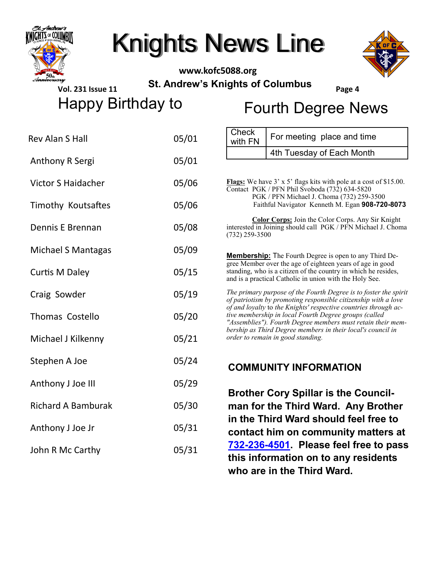

**www.kofc5088.org St. Andrew's Knights of Columbus**



**Vol. 231 Issue 11**

Happy Birthday to Fourth Degree News

**Page 4**

| <b>Rev Alan S Hall</b>    | 05/01 | Check<br>For meeting place and time<br>with FN                                                                                                                                                                                                                                                                                                                                                                                    |  |
|---------------------------|-------|-----------------------------------------------------------------------------------------------------------------------------------------------------------------------------------------------------------------------------------------------------------------------------------------------------------------------------------------------------------------------------------------------------------------------------------|--|
| <b>Anthony R Sergi</b>    | 05/01 | 4th Tuesday of Each Month                                                                                                                                                                                                                                                                                                                                                                                                         |  |
|                           |       |                                                                                                                                                                                                                                                                                                                                                                                                                                   |  |
| <b>Victor S Haidacher</b> | 05/06 | Flags: We have 3' x 5' flags kits with pole at a cost of \$15.00.<br>Contact PGK / PFN Phil Svoboda (732) 634-5820<br>PGK / PFN Michael J. Choma (732) 259-3500                                                                                                                                                                                                                                                                   |  |
| Timothy Koutsaftes        | 05/06 | Faithful Navigator Kenneth M. Egan 908-720-8073                                                                                                                                                                                                                                                                                                                                                                                   |  |
| Dennis E Brennan          | 05/08 | <b>Color Corps:</b> Join the Color Corps. Any Sir Knight<br>interested in Joining should call PGK / PFN Michael J. Choma<br>$(732)$ 259-3500                                                                                                                                                                                                                                                                                      |  |
| <b>Michael S Mantagas</b> | 05/09 | <b>Membership:</b> The Fourth Degree is open to any Third De-                                                                                                                                                                                                                                                                                                                                                                     |  |
| <b>Curtis M Daley</b>     | 05/15 | gree Member over the age of eighteen years of age in good<br>standing, who is a citizen of the country in which he resides,<br>and is a practical Catholic in union with the Holy See.                                                                                                                                                                                                                                            |  |
| Craig Sowder              | 05/19 | The primary purpose of the Fourth Degree is to foster the spirit<br>of patriotism by promoting responsible citizenship with a love<br>of and loyalty to the Knights' respective countries through ac-<br>tive membership in local Fourth Degree groups (called<br>"Assemblies"). Fourth Degree members must retain their mem-<br>bership as Third Degree members in their local's council in<br>order to remain in good standing. |  |
| <b>Thomas Costello</b>    | 05/20 |                                                                                                                                                                                                                                                                                                                                                                                                                                   |  |
| Michael J Kilkenny        | 05/21 |                                                                                                                                                                                                                                                                                                                                                                                                                                   |  |
| Stephen A Joe             | 05/24 | <b>COMMUNITY INFORMATION</b>                                                                                                                                                                                                                                                                                                                                                                                                      |  |
| Anthony J Joe III         | 05/29 | <b>Brother Cory Spillar is the Council-</b>                                                                                                                                                                                                                                                                                                                                                                                       |  |
| <b>Richard A Bamburak</b> | 05/30 | man for the Third Ward. Any Brother<br>in the Third Ward should feel free to                                                                                                                                                                                                                                                                                                                                                      |  |
| Anthony J Joe Jr          | 05/31 | contact him on community matters at                                                                                                                                                                                                                                                                                                                                                                                               |  |
| John R Mc Carthy          | 05/31 | 732-236-4501. Please feel free to pass<br>this information on to any residents<br>who are in the Third Ward.                                                                                                                                                                                                                                                                                                                      |  |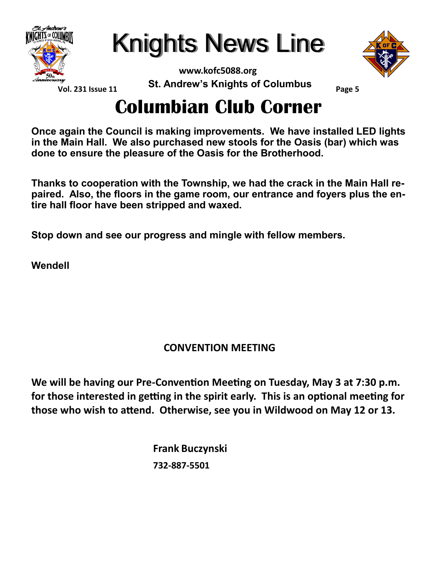

Knights News Line



**Vol. 231 Issue 11**

**www.kofc5088.org St. Andrew's Knights of Columbus**

**Page 5**

### **Columbian Club Corner**

**Once again the Council is making improvements. We have installed LED lights in the Main Hall. We also purchased new stools for the Oasis (bar) which was done to ensure the pleasure of the Oasis for the Brotherhood.**

**Thanks to cooperation with the Township, we had the crack in the Main Hall repaired. Also, the floors in the game room, our entrance and foyers plus the entire hall floor have been stripped and waxed.**

**Stop down and see our progress and mingle with fellow members.**

**Wendell** 

#### **CONVENTION MEETING**

**We will be having our Pre-Convention Meeting on Tuesday, May 3 at 7:30 p.m. for those interested in getting in the spirit early. This is an optional meeting for those who wish to attend. Otherwise, see you in Wildwood on May 12 or 13.**

> **Frank Buczynski 732-887-5501**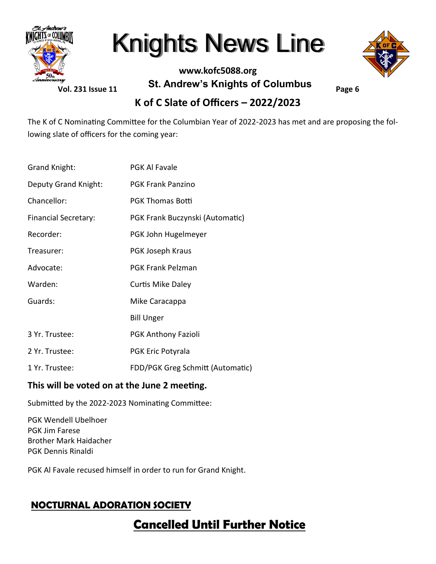

**Vol. 231 Issue 11**

#### **www.kofc5088.org St. Andrew's Knights of Columbus**

**Page 6**

#### **K of C Slate of Officers – 2022/2023**

The K of C Nominating Committee for the Columbian Year of 2022-2023 has met and are proposing the following slate of officers for the coming year:

| Grand Knight:               | <b>PGK Al Favale</b>             |
|-----------------------------|----------------------------------|
| Deputy Grand Knight:        | <b>PGK Frank Panzino</b>         |
| Chancellor:                 | <b>PGK Thomas Botti</b>          |
| <b>Financial Secretary:</b> | PGK Frank Buczynski (Automatic)  |
| Recorder:                   | PGK John Hugelmeyer              |
| Treasurer:                  | PGK Joseph Kraus                 |
| Advocate:                   | <b>PGK Frank Pelzman</b>         |
| Warden:                     | <b>Curtis Mike Daley</b>         |
| Guards:                     | Mike Caracappa                   |
|                             | <b>Bill Unger</b>                |
| 3 Yr. Trustee:              | <b>PGK Anthony Fazioli</b>       |
| 2 Yr. Trustee:              | PGK Eric Potyrala                |
| 1 Yr. Trustee:              | FDD/PGK Greg Schmitt (Automatic) |

#### **This will be voted on at the June 2 meeting.**

Submitted by the 2022-2023 Nominating Committee:

PGK Wendell Ubelhoer PGK Jim Farese Brother Mark Haidacher PGK Dennis Rinaldi

PGK Al Favale recused himself in order to run for Grand Knight.

#### **NOCTURNAL ADORATION SOCIETY**

### **Cancelled Until Further Notice**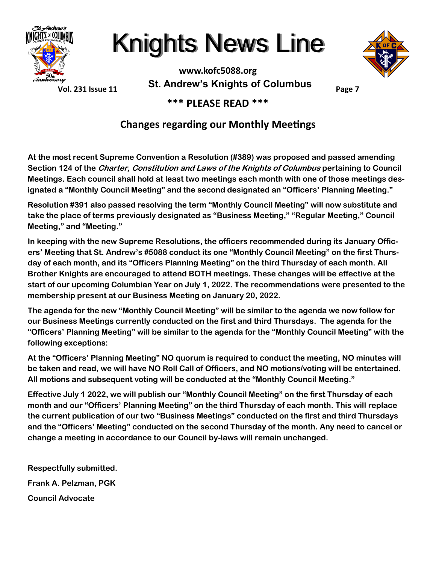



**Page 7**

**Vol. 231 Issue 11**

**www.kofc5088.org St. Andrew's Knights of Columbus**

**\*\*\* PLEASE READ \*\*\***

#### **Changes regarding our Monthly Meetings**

**At the most recent Supreme Convention a Resolution (#389) was proposed and passed amending Section 124 of the Charter, Constitution and Laws of the Knights of Columbus pertaining to Council Meetings. Each council shall hold at least two meetings each month with one of those meetings designated a "Monthly Council Meeting" and the second designated an "Officers' Planning Meeting."** 

**Resolution #391 also passed resolving the term "Monthly Council Meeting" will now substitute and take the place of terms previously designated as "Business Meeting," "Regular Meeting," Council Meeting," and "Meeting."**

**In keeping with the new Supreme Resolutions, the officers recommended during its January Officers' Meeting that St. Andrew's #5088 conduct its one "Monthly Council Meeting" on the first Thursday of each month, and its "Officers Planning Meeting" on the third Thursday of each month. All Brother Knights are encouraged to attend BOTH meetings. These changes will be effective at the start of our upcoming Columbian Year on July 1, 2022. The recommendations were presented to the membership present at our Business Meeting on January 20, 2022.**

**The agenda for the new "Monthly Council Meeting" will be similar to the agenda we now follow for our Business Meetings currently conducted on the first and third Thursdays. The agenda for the "Officers' Planning Meeting" will be similar to the agenda for the "Monthly Council Meeting" with the following exceptions:**

**At the "Officers' Planning Meeting" NO quorum is required to conduct the meeting, NO minutes will be taken and read, we will have NO Roll Call of Officers, and NO motions/voting will be entertained. All motions and subsequent voting will be conducted at the "Monthly Council Meeting."**

**Effective July 1 2022, we will publish our "Monthly Council Meeting" on the first Thursday of each month and our "Officers' Planning Meeting" on the third Thursday of each month. This will replace the current publication of our two "Business Meetings" conducted on the first and third Thursdays and the "Officers' Meeting" conducted on the second Thursday of the month. Any need to cancel or change a meeting in accordance to our Council by-laws will remain unchanged.**

**Respectfully submitted. Frank A. Pelzman, PGK Council Advocate**